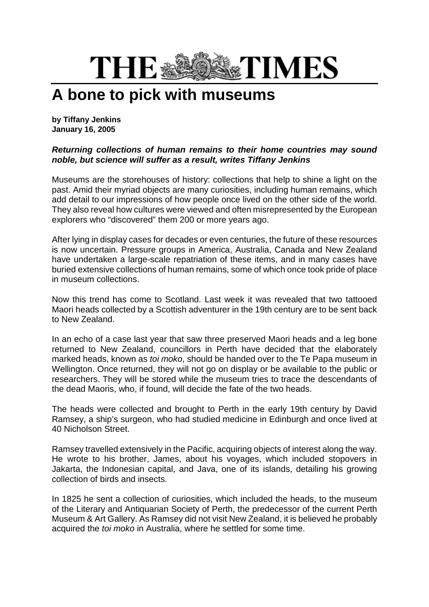## THE\* **STIMES**

## **A bone to pick with museums**

**by Tiffany Jenkins January 16, 2005**

## *Returning collections of human remains to their home countries may sound noble, but science will suffer as a result, writes Tiffany Jenkins*

Museums are the storehouses of history: collections that help to shine a light on the past. Amid their myriad objects are many curiosities, including human remains, which add detail to our impressions of how people once lived on the other side of the world. They also reveal how cultures were viewed and often misrepresented by the European explorers who "discovered" them 200 or more years ago.

After lying in display cases for decades or even centuries, the future of these resources is now uncertain. Pressure groups in America, Australia, Canada and New Zealand have undertaken a large-scale repatriation of these items, and in many cases have buried extensive collections of human remains, some of which once took pride of place in museum collections.

Now this trend has come to Scotland. Last week it was revealed that two tattooed Maori heads collected by a Scottish adventurer in the 19th century are to be sent back to New Zealand.

In an echo of a case last year that saw three preserved Maori heads and a leg bone returned to New Zealand, councillors in Perth have decided that the elaborately marked heads, known as *toi moko*, should be handed over to the Te Papa museum in Wellington. Once returned, they will not go on display or be available to the public or researchers. They will be stored while the museum tries to trace the descendants of the dead Maoris, who, if found, will decide the fate of the two heads.

The heads were collected and brought to Perth in the early 19th century by David Ramsey, a ship's surgeon, who had studied medicine in Edinburgh and once lived at 40 Nicholson Street.

Ramsey travelled extensively in the Pacific, acquiring objects of interest along the way. He wrote to his brother, James, about his voyages, which included stopovers in Jakarta, the Indonesian capital, and Java, one of its islands, detailing his growing collection of birds and insects.

In 1825 he sent a collection of curiosities, which included the heads, to the museum of the Literary and Antiquarian Society of Perth, the predecessor of the current Perth Museum & Art Gallery. As Ramsey did not visit New Zealand, it is believed he probably acquired the *toi moko* in Australia, where he settled for some time.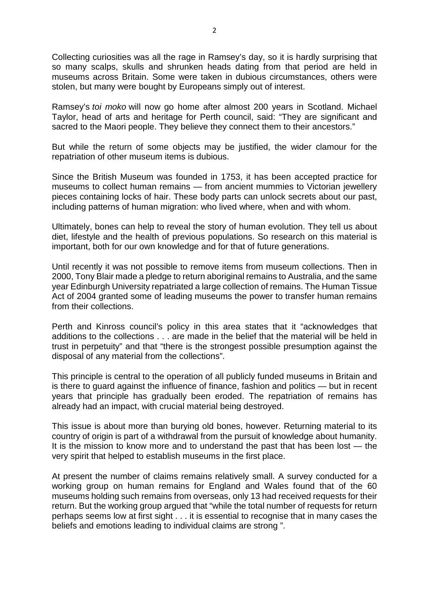Collecting curiosities was all the rage in Ramsey's day, so it is hardly surprising that so many scalps, skulls and shrunken heads dating from that period are held in museums across Britain. Some were taken in dubious circumstances, others were stolen, but many were bought by Europeans simply out of interest.

Ramsey's *toi moko* will now go home after almost 200 years in Scotland. Michael Taylor, head of arts and heritage for Perth council, said: "They are significant and sacred to the Maori people. They believe they connect them to their ancestors."

But while the return of some objects may be justified, the wider clamour for the repatriation of other museum items is dubious.

Since the British Museum was founded in 1753, it has been accepted practice for museums to collect human remains — from ancient mummies to Victorian jewellery pieces containing locks of hair. These body parts can unlock secrets about our past, including patterns of human migration: who lived where, when and with whom.

Ultimately, bones can help to reveal the story of human evolution. They tell us about diet, lifestyle and the health of previous populations. So research on this material is important, both for our own knowledge and for that of future generations.

Until recently it was not possible to remove items from museum collections. Then in 2000, Tony Blair made a pledge to return aboriginal remains to Australia, and the same year Edinburgh University repatriated a large collection of remains. The Human Tissue Act of 2004 granted some of leading museums the power to transfer human remains from their collections.

Perth and Kinross council's policy in this area states that it "acknowledges that additions to the collections . . . are made in the belief that the material will be held in trust in perpetuity" and that "there is the strongest possible presumption against the disposal of any material from the collections".

This principle is central to the operation of all publicly funded museums in Britain and is there to guard against the influence of finance, fashion and politics — but in recent years that principle has gradually been eroded. The repatriation of remains has already had an impact, with crucial material being destroyed.

This issue is about more than burying old bones, however. Returning material to its country of origin is part of a withdrawal from the pursuit of knowledge about humanity. It is the mission to know more and to understand the past that has been lost — the very spirit that helped to establish museums in the first place.

At present the number of claims remains relatively small. A survey conducted for a working group on human remains for England and Wales found that of the 60 museums holding such remains from overseas, only 13 had received requests for their return. But the working group argued that "while the total number of requests for return perhaps seems low at first sight . . . it is essential to recognise that in many cases the beliefs and emotions leading to individual claims are strong ".